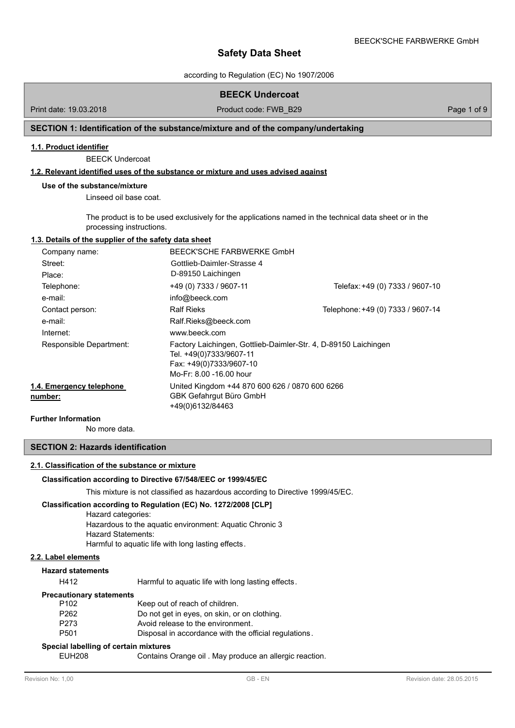according to Regulation (EC) No 1907/2006

# **BEECK Undercoat**

Print date: 19.03.2018 **Product code: FWB\_B29** Page 1 of 9 Page 1 of 9

# **SECTION 1: Identification of the substance/mixture and of the company/undertaking**

## **1.1. Product identifier**

BEECK Undercoat

### **1.2. Relevant identified uses of the substance or mixture and uses advised against**

#### **Use of the substance/mixture**

Linseed oil base coat.

The product is to be used exclusively for the applications named in the technical data sheet or in the processing instructions.

## **1.3. Details of the supplier of the safety data sheet**

| Company name:                       | BEECK'SCHE FARBWERKE GmbH                                                                                                                        |                                   |
|-------------------------------------|--------------------------------------------------------------------------------------------------------------------------------------------------|-----------------------------------|
| Street:                             | Gottlieb-Daimler-Strasse 4                                                                                                                       |                                   |
| Place:                              | D-89150 Laichingen                                                                                                                               |                                   |
| Telephone:                          | +49 (0) 7333 / 9607-11                                                                                                                           | Telefax: +49 (0) 7333 / 9607-10   |
| e-mail:                             | info@beeck.com                                                                                                                                   |                                   |
| Contact person:                     | <b>Ralf Rieks</b>                                                                                                                                | Telephone: +49 (0) 7333 / 9607-14 |
| e-mail:                             | Ralf.Rieks@beeck.com                                                                                                                             |                                   |
| Internet:                           | www.beeck.com                                                                                                                                    |                                   |
| Responsible Department:             | Factory Laichingen, Gottlieb-Daimler-Str. 4, D-89150 Laichingen<br>Tel. +49(0)7333/9607-11<br>Fax: +49(0)7333/9607-10<br>Mo-Fr: 8.00 -16.00 hour |                                   |
| 1.4. Emergency telephone<br>number: | United Kingdom +44 870 600 626 / 0870 600 6266<br>GBK Gefahrgut Büro GmbH<br>+49(0)6132/84463                                                    |                                   |
| .                                   |                                                                                                                                                  |                                   |

**Further Information**

No more data.

# **SECTION 2: Hazards identification**

#### **2.1. Classification of the substance or mixture**

#### **Classification according to Directive 67/548/EEC or 1999/45/EC**

This mixture is not classified as hazardous according to Directive 1999/45/EC.

#### **Classification according to Regulation (EC) No. 1272/2008 [CLP]**

Hazard categories:

Hazardous to the aquatic environment: Aquatic Chronic 3

Hazard Statements:

Harmful to aquatic life with long lasting effects.

# **2.2. Label elements**

**Hazard statements**

H412 Harmful to aquatic life with long lasting effects.

#### **Precautionary statements**

| P102  | Keep out of reach of children.                        |
|-------|-------------------------------------------------------|
| P262  | Do not get in eyes, on skin, or on clothing.          |
| P273. | Avoid release to the environment.                     |
| P501  | Disposal in accordance with the official regulations. |
|       |                                                       |

# **Special labelling of certain mixtures**

EUH208 Contains Orange oil . May produce an allergic reaction.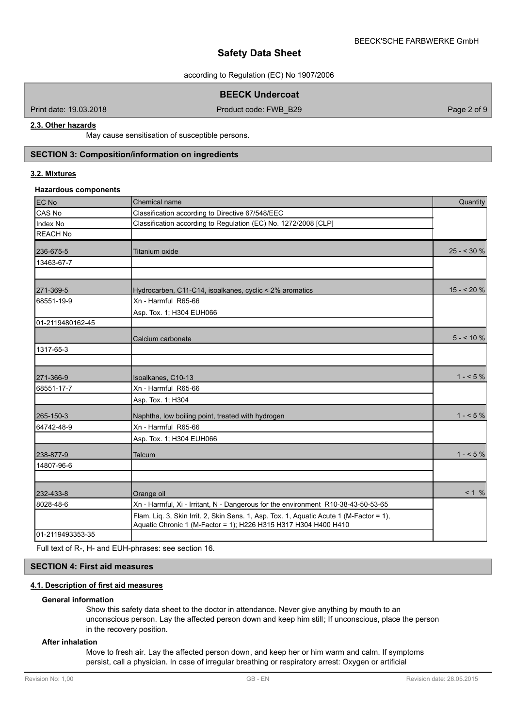according to Regulation (EC) No 1907/2006

**BEECK Undercoat**

Print date: 19.03.2018 **Product code: FWB\_B29** Page 2 of 9 Page 2 of 9

# **2.3. Other hazards**

May cause sensitisation of susceptible persons.

# **SECTION 3: Composition/information on ingredients**

# **3.2. Mixtures**

#### **Hazardous components**

| <b>EC No</b>     | Chemical name                                                                                                                                              | Quantity    |
|------------------|------------------------------------------------------------------------------------------------------------------------------------------------------------|-------------|
| CAS No           | Classification according to Directive 67/548/EEC                                                                                                           |             |
| Index No         | Classification according to Regulation (EC) No. 1272/2008 [CLP]                                                                                            |             |
| <b>REACH No</b>  |                                                                                                                                                            |             |
| 236-675-5        | <b>Titanium oxide</b>                                                                                                                                      | $25 - 30%$  |
| 13463-67-7       |                                                                                                                                                            |             |
|                  |                                                                                                                                                            |             |
| 271-369-5        | Hydrocarben, C11-C14, isoalkanes, cyclic < 2% aromatics                                                                                                    | $15 - 20%$  |
| 68551-19-9       | Xn - Harmful R65-66                                                                                                                                        |             |
|                  | Asp. Tox. 1; H304 EUH066                                                                                                                                   |             |
| 01-2119480162-45 |                                                                                                                                                            |             |
|                  | Calcium carbonate                                                                                                                                          | $5 - 10 \%$ |
| 1317-65-3        |                                                                                                                                                            |             |
|                  |                                                                                                                                                            |             |
| 271-366-9        | Isoalkanes, C10-13                                                                                                                                         | $1 - 5\%$   |
| 68551-17-7       | Xn - Harmful R65-66                                                                                                                                        |             |
|                  | Asp. Tox. 1; H304                                                                                                                                          |             |
| 265-150-3        | Naphtha, low boiling point, treated with hydrogen                                                                                                          | $1 - 5\%$   |
| 64742-48-9       | Xn - Harmful R65-66                                                                                                                                        |             |
|                  | Asp. Tox. 1; H304 EUH066                                                                                                                                   |             |
| 238-877-9        | Talcum                                                                                                                                                     | $1 - 5\%$   |
| 14807-96-6       |                                                                                                                                                            |             |
|                  |                                                                                                                                                            |             |
| 232-433-8        | Orange oil                                                                                                                                                 | < 1 %       |
| 8028-48-6        | Xn - Harmful, Xi - Irritant, N - Dangerous for the environment R10-38-43-50-53-65                                                                          |             |
|                  | Flam. Liq. 3, Skin Irrit. 2, Skin Sens. 1, Asp. Tox. 1, Aquatic Acute 1 (M-Factor = 1),<br>Aquatic Chronic 1 (M-Factor = 1); H226 H315 H317 H304 H400 H410 |             |
| 01-2119493353-35 |                                                                                                                                                            |             |

Full text of R-, H- and EUH-phrases: see section 16.

# **SECTION 4: First aid measures**

# **4.1. Description of first aid measures**

#### **General information**

Show this safety data sheet to the doctor in attendance. Never give anything by mouth to an unconscious person. Lay the affected person down and keep him still; If unconscious, place the person in the recovery position.

### **After inhalation**

Move to fresh air. Lay the affected person down, and keep her or him warm and calm. If symptoms persist, call a physician. In case of irregular breathing or respiratory arrest: Oxygen or artificial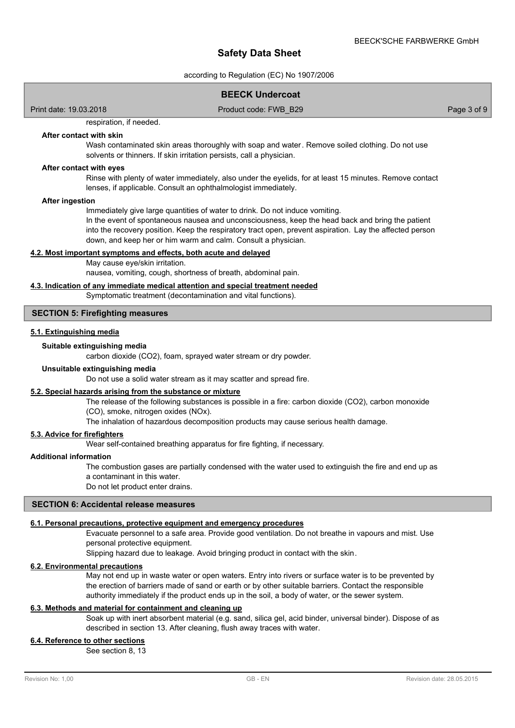according to Regulation (EC) No 1907/2006

### **BEECK Undercoat**

Print date: 19.03.2018 **Product code: FWB\_B29** Page 3 of 9

respiration, if needed.

#### **After contact with skin**

Wash contaminated skin areas thoroughly with soap and water. Remove soiled clothing. Do not use solvents or thinners. If skin irritation persists, call a physician.

#### **After contact with eyes**

Rinse with plenty of water immediately, also under the eyelids, for at least 15 minutes. Remove contact lenses, if applicable. Consult an ophthalmologist immediately.

#### **After ingestion**

Immediately give large quantities of water to drink. Do not induce vomiting.

In the event of spontaneous nausea and unconsciousness, keep the head back and bring the patient into the recovery position. Keep the respiratory tract open, prevent aspiration. Lay the affected person down, and keep her or him warm and calm. Consult a physician.

#### **4.2. Most important symptoms and effects, both acute and delayed**

May cause eye/skin irritation.

nausea, vomiting, cough, shortness of breath, abdominal pain.

# **4.3. Indication of any immediate medical attention and special treatment needed**

#### Symptomatic treatment (decontamination and vital functions).

#### **SECTION 5: Firefighting measures**

#### **5.1. Extinguishing media**

#### **Suitable extinguishing media**

carbon dioxide (CO2), foam, sprayed water stream or dry powder.

### **Unsuitable extinguishing media**

Do not use a solid water stream as it may scatter and spread fire.

#### **5.2. Special hazards arising from the substance or mixture**

The release of the following substances is possible in a fire: carbon dioxide (CO2), carbon monoxide

#### (CO), smoke, nitrogen oxides (NOx).

The inhalation of hazardous decomposition products may cause serious health damage.

# **5.3. Advice for firefighters**

Wear self-contained breathing apparatus for fire fighting, if necessary.

#### **Additional information**

The combustion gases are partially condensed with the water used to extinguish the fire and end up as a contaminant in this water.

Do not let product enter drains.

#### **SECTION 6: Accidental release measures**

#### **6.1. Personal precautions, protective equipment and emergency procedures**

Evacuate personnel to a safe area. Provide good ventilation. Do not breathe in vapours and mist. Use personal protective equipment.

Slipping hazard due to leakage. Avoid bringing product in contact with the skin.

# **6.2. Environmental precautions**

May not end up in waste water or open waters. Entry into rivers or surface water is to be prevented by the erection of barriers made of sand or earth or by other suitable barriers. Contact the responsible authority immediately if the product ends up in the soil, a body of water, or the sewer system.

#### **6.3. Methods and material for containment and cleaning up**

Soak up with inert absorbent material (e.g. sand, silica gel, acid binder, universal binder). Dispose of as described in section 13. After cleaning, flush away traces with water.

### **6.4. Reference to other sections**

See section 8, 13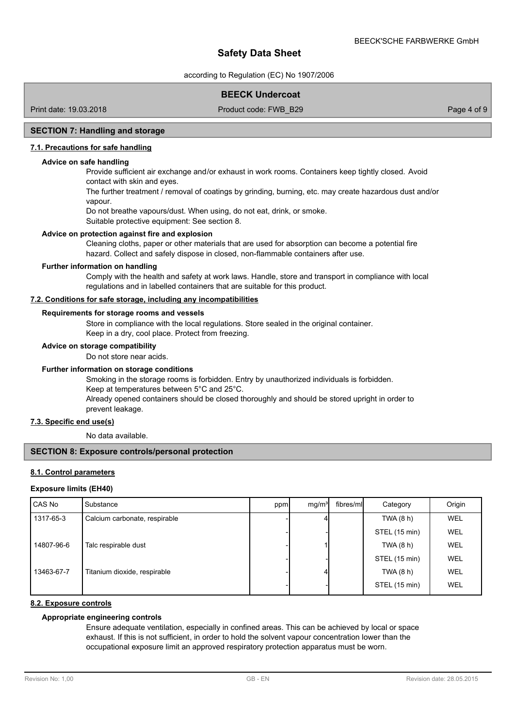according to Regulation (EC) No 1907/2006

# **BEECK Undercoat**

Print date: 19.03.2018 **Product code: FWB\_B29** Page 4 of 9

## **SECTION 7: Handling and storage**

### **7.1. Precautions for safe handling**

#### **Advice on safe handling**

Provide sufficient air exchange and/or exhaust in work rooms. Containers keep tightly closed. Avoid contact with skin and eyes.

The further treatment / removal of coatings by grinding, burning, etc. may create hazardous dust and/or vapour.

Do not breathe vapours/dust. When using, do not eat, drink, or smoke.

Suitable protective equipment: See section 8.

### **Advice on protection against fire and explosion**

Cleaning cloths, paper or other materials that are used for absorption can become a potential fire hazard. Collect and safely dispose in closed, non-flammable containers after use.

#### **Further information on handling**

Comply with the health and safety at work laws. Handle, store and transport in compliance with local regulations and in labelled containers that are suitable for this product.

# **7.2. Conditions for safe storage, including any incompatibilities**

#### **Requirements for storage rooms and vessels**

Store in compliance with the local regulations. Store sealed in the original container. Keep in a dry, cool place. Protect from freezing.

#### **Advice on storage compatibility**

Do not store near acids.

# **Further information on storage conditions**

Smoking in the storage rooms is forbidden. Entry by unauthorized individuals is forbidden. Keep at temperatures between 5°C and 25°C. Already opened containers should be closed thoroughly and should be stored upright in order to prevent leakage.

#### **7.3. Specific end use(s)**

No data available.

#### **SECTION 8: Exposure controls/personal protection**

#### **8.1. Control parameters**

#### **Exposure limits (EH40)**

| Substance                     |  |     | Category          | Origin     |
|-------------------------------|--|-----|-------------------|------------|
| Calcium carbonate, respirable |  |     | TWA $(8 h)$       | <b>WEL</b> |
|                               |  |     | STEL (15 min)     | <b>WEL</b> |
| Talc respirable dust          |  |     | TWA $(8 h)$       | WEL        |
|                               |  |     | STEL (15 min)     | WEL        |
| Titanium dioxide, respirable  |  |     | TWA $(8 h)$       | <b>WEL</b> |
|                               |  |     | STEL (15 min)     | WEL        |
|                               |  | ppm | mq/m <sup>3</sup> | fibres/ml  |

### **8.2. Exposure controls**

# **Appropriate engineering controls**

Ensure adequate ventilation, especially in confined areas. This can be achieved by local or space exhaust. If this is not sufficient, in order to hold the solvent vapour concentration lower than the occupational exposure limit an approved respiratory protection apparatus must be worn.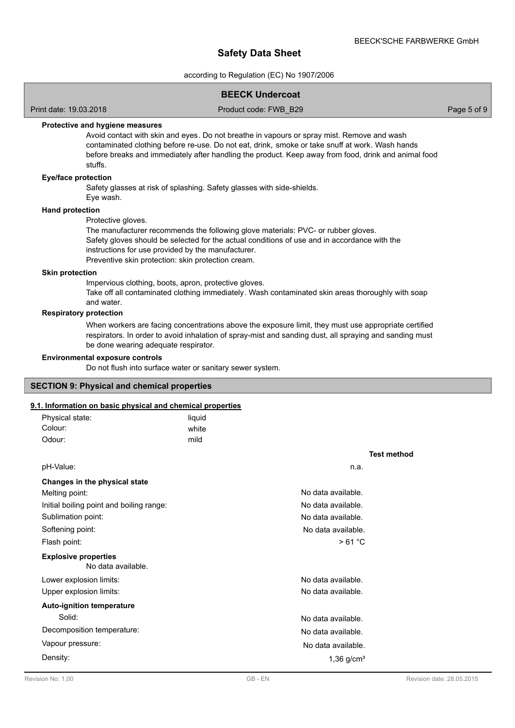according to Regulation (EC) No 1907/2006

### **BEECK Undercoat**

Print date: 19.03.2018 **Product code: FWB\_B29** Page 5 of 9

### **Protective and hygiene measures**

Avoid contact with skin and eyes. Do not breathe in vapours or spray mist. Remove and wash contaminated clothing before re-use. Do not eat, drink, smoke or take snuff at work. Wash hands before breaks and immediately after handling the product. Keep away from food, drink and animal food stuffs.

#### **Eye/face protection**

Safety glasses at risk of splashing. Safety glasses with side-shields.

Eye wash.

# **Hand protection**

Protective gloves.

The manufacturer recommends the following glove materials: PVC- or rubber gloves. Safety gloves should be selected for the actual conditions of use and in accordance with the instructions for use provided by the manufacturer.

Preventive skin protection: skin protection cream.

#### **Skin protection**

Impervious clothing, boots, apron, protective gloves. Take off all contaminated clothing immediately. Wash contaminated skin areas thoroughly with soap and water.

#### **Respiratory protection**

When workers are facing concentrations above the exposure limit, they must use appropriate certified respirators. In order to avoid inhalation of spray-mist and sanding dust, all spraying and sanding must be done wearing adequate respirator.

#### **Environmental exposure controls**

Do not flush into surface water or sanitary sewer system.

#### **SECTION 9: Physical and chemical properties**

# **9.1. Information on basic physical and chemical properties**

| Physical state:                                   | liquid |                          |
|---------------------------------------------------|--------|--------------------------|
| Colour:                                           | white  |                          |
| Odour:                                            | mild   |                          |
|                                                   |        | <b>Test method</b>       |
| pH-Value:                                         |        | n.a.                     |
| Changes in the physical state                     |        |                          |
| Melting point:                                    |        | No data available.       |
| Initial boiling point and boiling range:          |        | No data available.       |
| Sublimation point:                                |        | No data available.       |
| Softening point:                                  |        | No data available.       |
| Flash point:                                      |        | >61 °C                   |
| <b>Explosive properties</b><br>No data available. |        |                          |
| Lower explosion limits:                           |        | No data available.       |
| Upper explosion limits:                           |        | No data available.       |
| <b>Auto-ignition temperature</b>                  |        |                          |
| Solid:                                            |        | No data available.       |
| Decomposition temperature:                        |        | No data available.       |
| Vapour pressure:                                  |        | No data available.       |
| Density:                                          |        | $1,36$ g/cm <sup>3</sup> |
|                                                   |        |                          |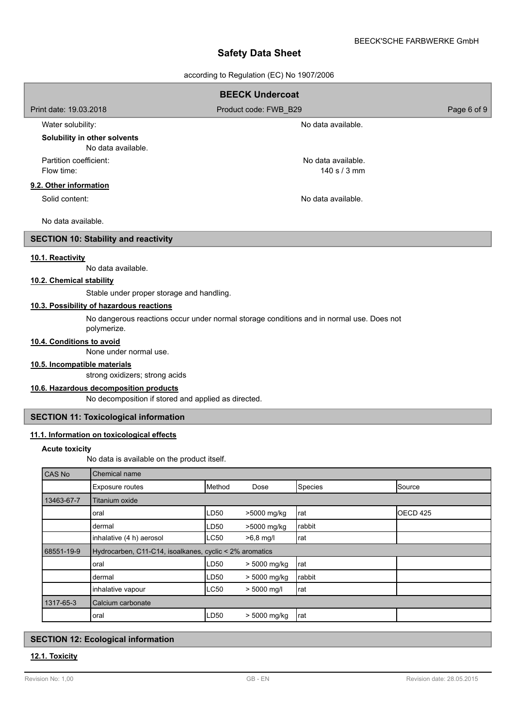according to Regulation (EC) No 1907/2006

|                                              |                                                                                                         |        | $acc$ or $m$ ights $\alpha$ in $\alpha$ is $\alpha$ is $\alpha$ is $\alpha$ is $\alpha$ is a set of $\alpha$ is a set of $\alpha$ is a set of $\alpha$ is a set of $\alpha$ is a set of $\alpha$ is a set of $\alpha$ is a set of $\alpha$ is a set of $\alpha$ is a set of $\alpha$ is a s |                    |             |
|----------------------------------------------|---------------------------------------------------------------------------------------------------------|--------|---------------------------------------------------------------------------------------------------------------------------------------------------------------------------------------------------------------------------------------------------------------------------------------------|--------------------|-------------|
|                                              |                                                                                                         |        | <b>BEECK Undercoat</b>                                                                                                                                                                                                                                                                      |                    |             |
| Print date: 19.03.2018                       |                                                                                                         |        | Product code: FWB_B29                                                                                                                                                                                                                                                                       |                    | Page 6 of 9 |
| Water solubility:                            |                                                                                                         |        |                                                                                                                                                                                                                                                                                             | No data available. |             |
|                                              | Solubility in other solvents<br>No data available.                                                      |        |                                                                                                                                                                                                                                                                                             |                    |             |
| Partition coefficient:<br>No data available. |                                                                                                         |        |                                                                                                                                                                                                                                                                                             |                    |             |
| Flow time:                                   |                                                                                                         |        |                                                                                                                                                                                                                                                                                             | 140 s / 3 mm       |             |
| 9.2. Other information                       |                                                                                                         |        |                                                                                                                                                                                                                                                                                             |                    |             |
| Solid content:                               |                                                                                                         |        |                                                                                                                                                                                                                                                                                             | No data available. |             |
| No data available.                           |                                                                                                         |        |                                                                                                                                                                                                                                                                                             |                    |             |
|                                              | <b>SECTION 10: Stability and reactivity</b>                                                             |        |                                                                                                                                                                                                                                                                                             |                    |             |
| 10.1. Reactivity                             |                                                                                                         |        |                                                                                                                                                                                                                                                                                             |                    |             |
|                                              | No data available.                                                                                      |        |                                                                                                                                                                                                                                                                                             |                    |             |
| 10.2. Chemical stability                     |                                                                                                         |        |                                                                                                                                                                                                                                                                                             |                    |             |
|                                              | Stable under proper storage and handling.                                                               |        |                                                                                                                                                                                                                                                                                             |                    |             |
|                                              | 10.3. Possibility of hazardous reactions                                                                |        |                                                                                                                                                                                                                                                                                             |                    |             |
|                                              | No dangerous reactions occur under normal storage conditions and in normal use. Does not<br>polymerize. |        |                                                                                                                                                                                                                                                                                             |                    |             |
| 10.4. Conditions to avoid                    |                                                                                                         |        |                                                                                                                                                                                                                                                                                             |                    |             |
|                                              | None under normal use.                                                                                  |        |                                                                                                                                                                                                                                                                                             |                    |             |
| 10.5. Incompatible materials                 |                                                                                                         |        |                                                                                                                                                                                                                                                                                             |                    |             |
|                                              | strong oxidizers; strong acids                                                                          |        |                                                                                                                                                                                                                                                                                             |                    |             |
|                                              | 10.6. Hazardous decomposition products<br>No decomposition if stored and applied as directed.           |        |                                                                                                                                                                                                                                                                                             |                    |             |
|                                              |                                                                                                         |        |                                                                                                                                                                                                                                                                                             |                    |             |
|                                              | <b>SECTION 11: Toxicological information</b>                                                            |        |                                                                                                                                                                                                                                                                                             |                    |             |
|                                              | 11.1. Information on toxicological effects                                                              |        |                                                                                                                                                                                                                                                                                             |                    |             |
| <b>Acute toxicity</b>                        |                                                                                                         |        |                                                                                                                                                                                                                                                                                             |                    |             |
| No data is available on the product itself.  |                                                                                                         |        |                                                                                                                                                                                                                                                                                             |                    |             |
| CAS No                                       | Chemical name                                                                                           |        |                                                                                                                                                                                                                                                                                             |                    |             |
|                                              | Exposure routes                                                                                         | Method | Dose                                                                                                                                                                                                                                                                                        | Species            | Source      |
| 13463-67-7                                   | Titanium oxide                                                                                          |        |                                                                                                                                                                                                                                                                                             |                    |             |
|                                              | oral                                                                                                    | LD50   | >5000 mg/kg                                                                                                                                                                                                                                                                                 | rat                | OECD 425    |
|                                              | dermal                                                                                                  | LD50   | >5000 mg/kg                                                                                                                                                                                                                                                                                 | rabbit             |             |
|                                              | inhalative (4 h) aerosol                                                                                | LC50   | $>6,8$ mg/l                                                                                                                                                                                                                                                                                 | rat                |             |
| 68551-19-9                                   | Hydrocarben, C11-C14, isoalkanes, cyclic < 2% aromatics                                                 |        |                                                                                                                                                                                                                                                                                             |                    |             |
|                                              | oral                                                                                                    | LD50   | > 5000 mg/kg                                                                                                                                                                                                                                                                                | rat                |             |
|                                              | dermal                                                                                                  | LD50   | > 5000 mg/kg                                                                                                                                                                                                                                                                                | rabbit             |             |

# **SECTION 12: Ecological information**

1317-65-3 Calcium carbonate

# **12.1. Toxicity**

inhalative vapour  $\begin{vmatrix} \text{LC50} \\ \text{LC50} \end{vmatrix}$  > 5000 mg/l rat

 $\begin{array}{ccc} \text{d} & \text{d} \\ \text{d} & \text{d} \end{array}$   $\begin{array}{ccc} \text{d} & \text{d} \\ \text{d} & \text{d} \end{array}$   $\begin{array}{ccc} \text{d} & \text{d} \\ \text{d} & \text{d} \end{array}$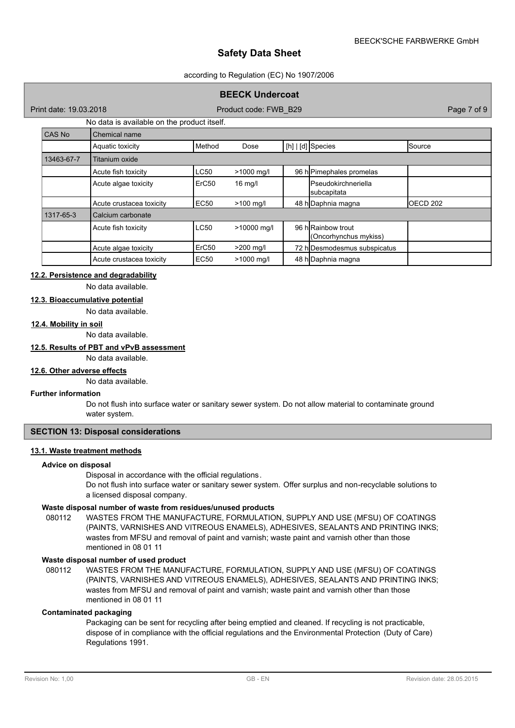#### according to Regulation (EC) No 1907/2006

# **BEECK Undercoat**

Print date: 19.03.2018 **Product code: FWB\_B29** Page 7 of 9 Page 7 of 9

# No data is available on the product itself.

| CAS No     | Chemical name            |                   |                   |  |                                            |                     |  |  |  |
|------------|--------------------------|-------------------|-------------------|--|--------------------------------------------|---------------------|--|--|--|
|            | Aquatic toxicity         | Method            | Dose              |  | $[h]   [d]$ Species                        | Source              |  |  |  |
| 13463-67-7 | Titanium oxide           |                   |                   |  |                                            |                     |  |  |  |
|            | Acute fish toxicity      | <b>LC50</b>       | >1000 mg/l        |  | 96 h Pimephales promelas                   |                     |  |  |  |
|            | Acute algae toxicity     | ErC <sub>50</sub> | $16 \text{ mg/l}$ |  | <b>Pseudokirchneriella</b><br>subcapitata  |                     |  |  |  |
|            | Acute crustacea toxicity | <b>EC50</b>       | $>100$ mg/l       |  | 48 h Daphnia magna                         | OECD <sub>202</sub> |  |  |  |
| 1317-65-3  | Calcium carbonate        |                   |                   |  |                                            |                     |  |  |  |
|            | Acute fish toxicity      | <b>LC50</b>       | >10000 mg/l       |  | 96 hRainbow trout<br>(Oncorhynchus mykiss) |                     |  |  |  |
|            | Acute algae toxicity     | ErC <sub>50</sub> | $>200$ mg/l       |  | 72 h Desmodesmus subspicatus               |                     |  |  |  |
|            | Acute crustacea toxicity | EC50              | $>1000$ mg/l      |  | 48 h Daphnia magna                         |                     |  |  |  |

# **12.2. Persistence and degradability**

No data available.

# **12.3. Bioaccumulative potential**

No data available.

# **12.4. Mobility in soil**

No data available.

#### **12.5. Results of PBT and vPvB assessment**

No data available.

#### **12.6. Other adverse effects**

No data available.

#### **Further information**

Do not flush into surface water or sanitary sewer system. Do not allow material to contaminate ground water system.

# **SECTION 13: Disposal considerations**

#### **13.1. Waste treatment methods**

#### **Advice on disposal**

Disposal in accordance with the official regulations.

Do not flush into surface water or sanitary sewer system. Offer surplus and non-recyclable solutions to a licensed disposal company.

#### **Waste disposal number of waste from residues/unused products**

080112 WASTES FROM THE MANUFACTURE, FORMULATION, SUPPLY AND USE (MFSU) OF COATINGS (PAINTS, VARNISHES AND VITREOUS ENAMELS), ADHESIVES, SEALANTS AND PRINTING INKS; wastes from MFSU and removal of paint and varnish; waste paint and varnish other than those mentioned in 08 01 11

#### **Waste disposal number of used product**

WASTES FROM THE MANUFACTURE, FORMULATION, SUPPLY AND USE (MFSU) OF COATINGS (PAINTS, VARNISHES AND VITREOUS ENAMELS), ADHESIVES, SEALANTS AND PRINTING INKS; wastes from MFSU and removal of paint and varnish; waste paint and varnish other than those mentioned in 08 01 11 080112

# **Contaminated packaging**

Packaging can be sent for recycling after being emptied and cleaned. If recycling is not practicable, dispose of in compliance with the official regulations and the Environmental Protection (Duty of Care) Regulations 1991.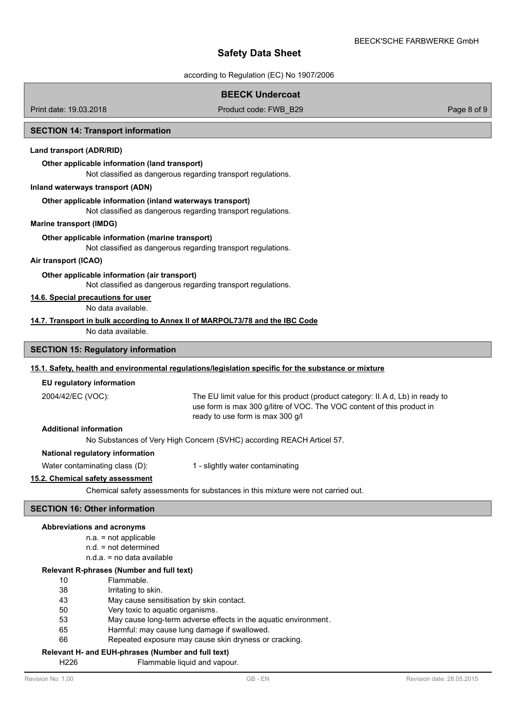according to Regulation (EC) No 1907/2006

# **BEECK Undercoat**

Print date: 19.03.2018 **Product code: FWB\_B29** Page 8 of 9

#### **SECTION 14: Transport information**

# **Land transport (ADR/RID)**

#### **Other applicable information (land transport)**

Not classified as dangerous regarding transport regulations.

#### **Inland waterways transport (ADN)**

#### **Other applicable information (inland waterways transport)**

Not classified as dangerous regarding transport regulations.

### **Marine transport (IMDG)**

# **Other applicable information (marine transport)**

Not classified as dangerous regarding transport regulations.

# **Air transport (ICAO)**

# **Other applicable information (air transport)**

Not classified as dangerous regarding transport regulations.

# **14.6. Special precautions for user**

No data available.

#### **14.7. Transport in bulk according to Annex II of MARPOL73/78 and the IBC Code**

No data available.

# **SECTION 15: Regulatory information**

# **15.1. Safety, health and environmental regulations/legislation specific for the substance or mixture**

#### **EU regulatory information**

2004/42/EC (VOC):

The EU limit value for this product (product category: II.A d, Lb) in ready to use form is max 300 g/litre of VOC. The VOC content of this product in ready to use form is max 300 g/l

### **Additional information**

No Substances of Very High Concern (SVHC) according REACH Articel 57.

# **National regulatory information**

Water contaminating class (D): 1 - slightly water contaminating

# **15.2. Chemical safety assessment**

Chemical safety assessments for substances in this mixture were not carried out.

# **SECTION 16: Other information**

#### **Abbreviations and acronyms**

- n.a. = not applicable
- n.d. = not determined
- n.d.a. = no data available

#### **Relevant R-phrases (Number and full text)**

- 10 Flammable.
- 38 Irritating to skin.
- 43 May cause sensitisation by skin contact.
- 50 Very toxic to aquatic organisms.
- 53 May cause long-term adverse effects in the aquatic environment.
- 65 Harmful: may cause lung damage if swallowed.
- 66 Repeated exposure may cause skin dryness or cracking.

# **Relevant H- and EUH-phrases (Number and full text)**

H226 Flammable liquid and vapour.